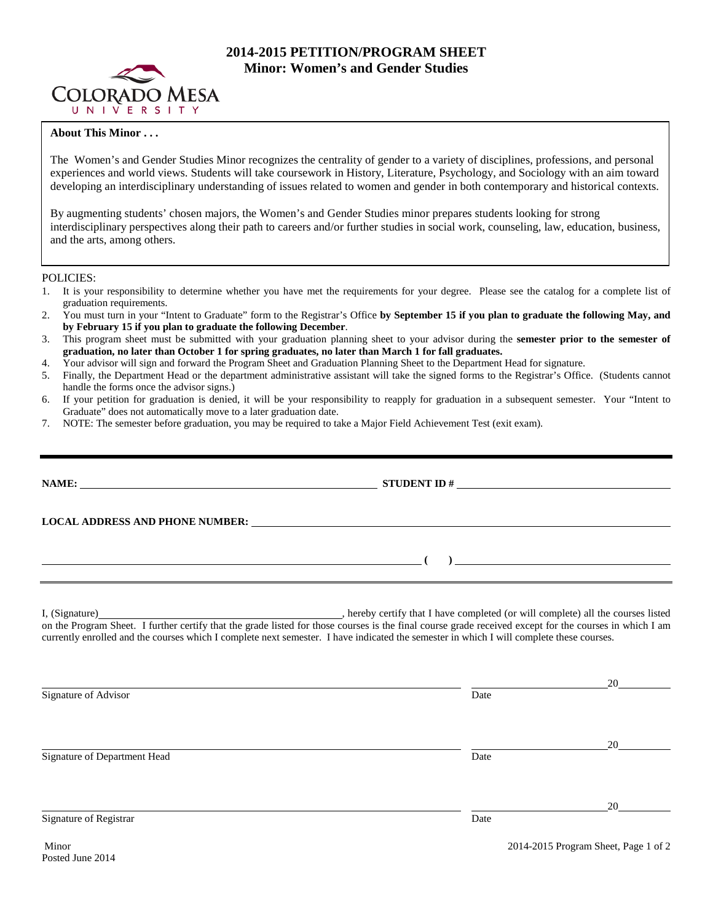

# **2014-2015 PETITION/PROGRAM SHEET Minor: Women's and Gender Studies**

## **About This Minor . . .**

The Women's and Gender Studies Minor recognizes the centrality of gender to a variety of disciplines, professions, and personal experiences and world views. Students will take coursework in History, Literature, Psychology, and Sociology with an aim toward developing an interdisciplinary understanding of issues related to women and gender in both contemporary and historical contexts.

By augmenting students' chosen majors, the Women's and Gender Studies minor prepares students looking for strong interdisciplinary perspectives along their path to careers and/or further studies in social work, counseling, law, education, business, and the arts, among others.

POLICIES:

- 1. It is your responsibility to determine whether you have met the requirements for your degree. Please see the catalog for a complete list of graduation requirements.
- 2. You must turn in your "Intent to Graduate" form to the Registrar's Office **by September 15 if you plan to graduate the following May, and by February 15 if you plan to graduate the following December**.
- 3. This program sheet must be submitted with your graduation planning sheet to your advisor during the **semester prior to the semester of graduation, no later than October 1 for spring graduates, no later than March 1 for fall graduates.**
- 4. Your advisor will sign and forward the Program Sheet and Graduation Planning Sheet to the Department Head for signature.
- 5. Finally, the Department Head or the department administrative assistant will take the signed forms to the Registrar's Office. (Students cannot handle the forms once the advisor signs.)
- 6. If your petition for graduation is denied, it will be your responsibility to reapply for graduation in a subsequent semester. Your "Intent to Graduate" does not automatically move to a later graduation date.
- 7. NOTE: The semester before graduation, you may be required to take a Major Field Achievement Test (exit exam).

|                                                                                                                                                                                                                                                                                                                              | NAME: $\qquad \qquad \qquad \textbf{STUDENT ID} \#$                                                                                                                                                                                                                                                 |                                                                                                                                                                                                                                                                                                                                                                                             |
|------------------------------------------------------------------------------------------------------------------------------------------------------------------------------------------------------------------------------------------------------------------------------------------------------------------------------|-----------------------------------------------------------------------------------------------------------------------------------------------------------------------------------------------------------------------------------------------------------------------------------------------------|---------------------------------------------------------------------------------------------------------------------------------------------------------------------------------------------------------------------------------------------------------------------------------------------------------------------------------------------------------------------------------------------|
|                                                                                                                                                                                                                                                                                                                              | LOCAL ADDRESS AND PHONE NUMBER: University of the contract of the contract of the contract of the contract of the contract of the contract of the contract of the contract of the contract of the contract of the contract of                                                                       |                                                                                                                                                                                                                                                                                                                                                                                             |
| $\overline{\phantom{a}}$ ( $\overline{\phantom{a}}$ ) and $\overline{\phantom{a}}$ ( $\overline{\phantom{a}}$ ) and $\overline{\phantom{a}}$ ( $\overline{\phantom{a}}$ ) and $\overline{\phantom{a}}$ (<br>and the control of the control of the control of the control of the control of the control of the control of the |                                                                                                                                                                                                                                                                                                     | $\begin{picture}(20,10) \put(0,0){\dashbox{0.5}(10,0){ }} \put(15,0){\circle{10}} \put(15,0){\circle{10}} \put(15,0){\circle{10}} \put(15,0){\circle{10}} \put(15,0){\circle{10}} \put(15,0){\circle{10}} \put(15,0){\circle{10}} \put(15,0){\circle{10}} \put(15,0){\circle{10}} \put(15,0){\circle{10}} \put(15,0){\circle{10}} \put(15,0){\circle{10}} \put(15,0){\circle{10}} \put(15,$ |
|                                                                                                                                                                                                                                                                                                                              | on the Program Sheet. I further certify that the grade listed for those courses is the final course grade received except for the courses in which I am<br>currently enrolled and the courses which I complete next semester. I have indicated the semester in which I will complete these courses. |                                                                                                                                                                                                                                                                                                                                                                                             |
| Signature of Advisor                                                                                                                                                                                                                                                                                                         | Date                                                                                                                                                                                                                                                                                                | $20 \degree$                                                                                                                                                                                                                                                                                                                                                                                |
| Signature of Department Head                                                                                                                                                                                                                                                                                                 | Date                                                                                                                                                                                                                                                                                                |                                                                                                                                                                                                                                                                                                                                                                                             |
| Signature of Registrar                                                                                                                                                                                                                                                                                                       | Date                                                                                                                                                                                                                                                                                                | 20                                                                                                                                                                                                                                                                                                                                                                                          |
| Minor                                                                                                                                                                                                                                                                                                                        |                                                                                                                                                                                                                                                                                                     | 2014-2015 Program Sheet, Page 1 of 2                                                                                                                                                                                                                                                                                                                                                        |